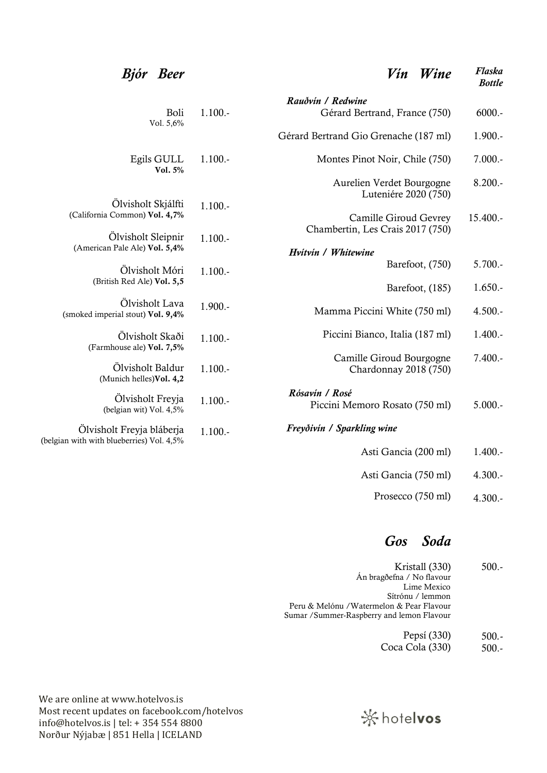#### Bjór Beer Vín Wine Flaska Bottle

|                                                                        |            | Rauðvín / Redwine                                 |             |
|------------------------------------------------------------------------|------------|---------------------------------------------------|-------------|
| Boli<br>Vol. 5,6%                                                      | $1.100. -$ | Gérard Bertrand, France (750)                     | $6000. -$   |
|                                                                        |            | Gérard Bertrand Gio Grenache (187 ml)             | $1.900. -$  |
| Egils GULL<br>Vol. 5%                                                  | $1.100. -$ | Montes Pinot Noir, Chile (750)                    | $7.000.-$   |
|                                                                        |            | Aurelien Verdet Bourgogne<br>Luteniére 2020 (750) | $8.200 -$   |
| Ölvisholt Skjálfti<br>(California Common) Vol. 4,7%                    | $1.100. -$ | Camille Giroud Gevrey                             | $15.400. -$ |
| Ölvisholt Sleipnir                                                     | $1.100. -$ | Chambertin, Les Crais 2017 (750)                  |             |
| (American Pale Ale) Vol. 5,4%                                          |            | Hvítvín / Whitewine                               |             |
| Ölvisholt Móri                                                         | $1.100. -$ | Barefoot, (750)                                   | $5.700.-$   |
| (British Red Ale) Vol. 5,5                                             |            | Barefoot, (185)                                   | $1.650. -$  |
| Ölvisholt Lava<br>(smoked imperial stout) Vol. 9,4%                    | $1.900. -$ | Mamma Piccini White (750 ml)                      | $4.500. -$  |
| Ölvisholt Skaði<br>(Farmhouse ale) Vol. 7,5%                           | $1.100. -$ | Piccini Bianco, Italia (187 ml)                   | $1.400. -$  |
| Ölvisholt Baldur<br>(Munich helles) Vol. 4,2                           | $1.100. -$ | Camille Giroud Bourgogne<br>Chardonnay 2018 (750) | $7.400. -$  |
| Ölvisholt Freyja<br>(belgian wit) Vol. 4,5%                            | $1.100. -$ | Rósavín / Rosé<br>Piccini Memoro Rosato (750 ml)  | $5.000.-$   |
| Ölvisholt Freyja bláberja<br>(belgian with with blueberries) Vol. 4,5% | $1.100. -$ | Freyðivín / Sparkling wine                        |             |
|                                                                        |            | Asti Gancia (200 ml)                              | $1.400. -$  |
|                                                                        |            | Asti Gancia (750 ml)                              | $4.300. -$  |
|                                                                        |            | Prosecco (750 ml)                                 | $4.300. -$  |

### Gos Soda

Kristall (330) Án bragðefna / No flavour Lime Mexico Sítrónu / lemmon Peru & Melónu /Watermelon & Pear Flavour Sumar /Summer-Raspberry and lemon Flavour 500.-

> Pepsí (330) Coca Cola (330) 500.- 500.-

We are online at www.hotelvos.is Most recent updates on facebook.com/hotelvos info@hotelvos.is | tel: + 354 554 8800 Norður Nýjabæ | 851 Hella | ICELAND

## ※hotelvos